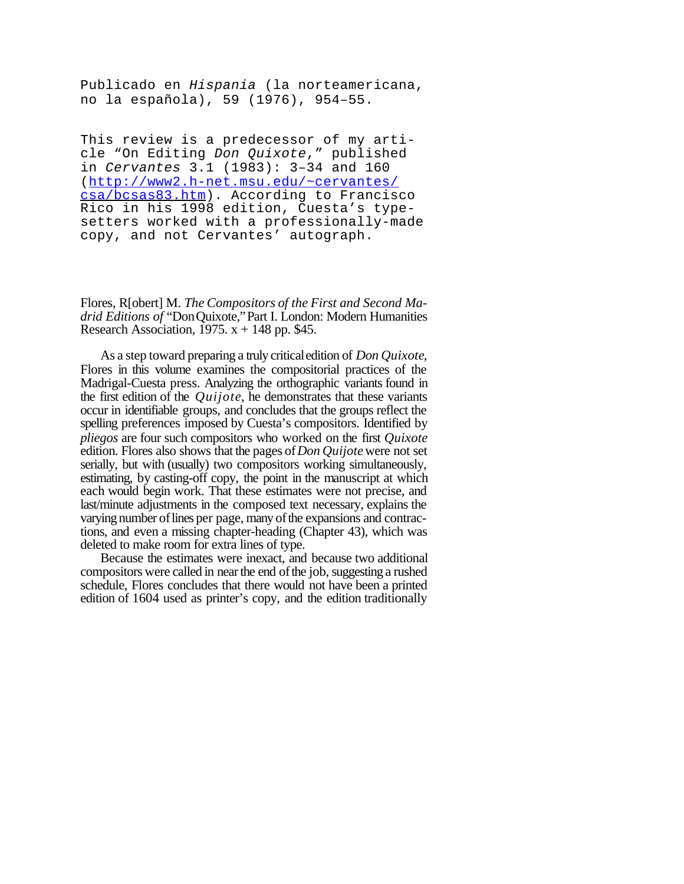Publicado en *Hispania* (la norteamericana, no la española), 59 (1976), 954–55.

This review is a predecessor of my article "On Editing *Don Quixote*," published in *Cervantes* 3.1 (1983): 3–34 and 160 (http://www2.h-net.msu.edu/~cervantes/ csa/bcsas83.htm). According to Francisco Rico in his 1998 edition, Cuesta's typesetters worked with a professionally-made copy, and not Cervantes' autograph.

Flores, R[obert] M. *The Compositors of the First and Second Madrid Editions of* "DonQuixote,"Part I. London: Modern Humanities Research Association, 1975.  $x + 148$  pp. \$45.

As a step toward preparing a truly criticaledition of *Don Quixote*, Flores in this volume examines the compositorial practices of the Madrigal-Cuesta press. Analyzing the orthographic variants found in the first edition of the *Quijote*, he demonstrates that these variants occur in identifiable groups, and concludes that the groups reflect the spelling preferences imposed by Cuesta's compositors. Identified by *pliegos* are four such compositors who worked on the first *Quixote* edition. Flores also shows that the pages of*Don Quijote*were not set serially, but with (usually) two compositors working simultaneously, estimating, by casting-off copy, the point in the manuscript at which each would begin work. That these estimates were not precise, and last/minute adjustments in the composed text necessary, explains the varying number of lines per page, many of the expansions and contractions, and even a missing chapter-heading (Chapter 43), which was deleted to make room for extra lines of type.

Because the estimates were inexact, and because two additional compositors were called in near the end of the job, suggesting a rushed schedule, Flores concludes that there would not have been a printed edition of 1604 used as printer's copy, and the edition traditionally